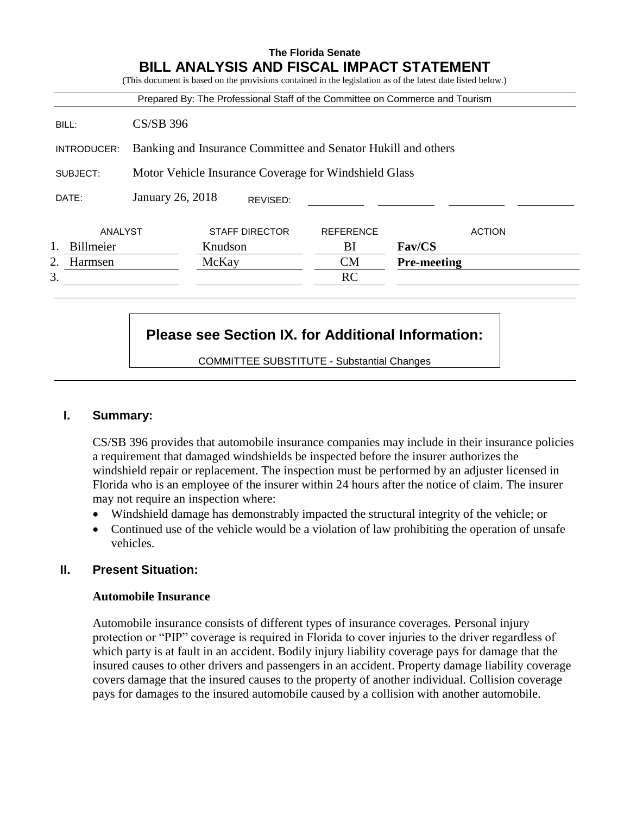|               |                                                       |         |                       | Prepared By: The Professional Staff of the Committee on Commerce and Tourism |                    |               |  |  |  |  |
|---------------|-------------------------------------------------------|---------|-----------------------|------------------------------------------------------------------------------|--------------------|---------------|--|--|--|--|
| BILL:         | <b>CS/SB 396</b>                                      |         |                       |                                                                              |                    |               |  |  |  |  |
| INTRODUCER:   |                                                       |         |                       | Banking and Insurance Committee and Senator Hukill and others                |                    |               |  |  |  |  |
| SUBJECT:      | Motor Vehicle Insurance Coverage for Windshield Glass |         |                       |                                                                              |                    |               |  |  |  |  |
| DATE:         | January 26, 2018                                      |         | REVISED:              |                                                                              |                    |               |  |  |  |  |
| ANALYST       |                                                       |         | <b>STAFF DIRECTOR</b> | <b>REFERENCE</b>                                                             |                    | <b>ACTION</b> |  |  |  |  |
| Billmeier     |                                                       | Knudson |                       | BI                                                                           | Fav/CS             |               |  |  |  |  |
| 2.<br>Harmsen |                                                       | McKay   |                       | <b>CM</b>                                                                    | <b>Pre-meeting</b> |               |  |  |  |  |
|               |                                                       |         |                       | <b>RC</b>                                                                    |                    |               |  |  |  |  |

# **Please see Section IX. for Additional Information:**

COMMITTEE SUBSTITUTE - Substantial Changes

# **I. Summary:**

CS/SB 396 provides that automobile insurance companies may include in their insurance policies a requirement that damaged windshields be inspected before the insurer authorizes the windshield repair or replacement. The inspection must be performed by an adjuster licensed in Florida who is an employee of the insurer within 24 hours after the notice of claim. The insurer may not require an inspection where:

- Windshield damage has demonstrably impacted the structural integrity of the vehicle; or
- Continued use of the vehicle would be a violation of law prohibiting the operation of unsafe vehicles.

## **II. Present Situation:**

## **Automobile Insurance**

Automobile insurance consists of different types of insurance coverages. Personal injury protection or "PIP" coverage is required in Florida to cover injuries to the driver regardless of which party is at fault in an accident. Bodily injury liability coverage pays for damage that the insured causes to other drivers and passengers in an accident. Property damage liability coverage covers damage that the insured causes to the property of another individual. Collision coverage pays for damages to the insured automobile caused by a collision with another automobile.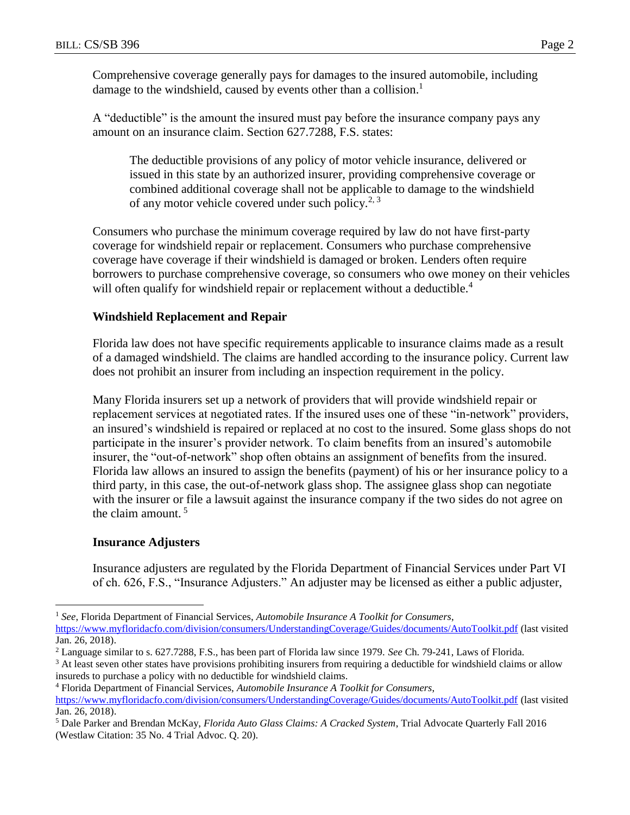Comprehensive coverage generally pays for damages to the insured automobile, including damage to the windshield, caused by events other than a collision.<sup>1</sup>

A "deductible" is the amount the insured must pay before the insurance company pays any amount on an insurance claim. Section 627.7288, F.S. states:

The deductible provisions of any policy of motor vehicle insurance, delivered or issued in this state by an authorized insurer, providing comprehensive coverage or combined additional coverage shall not be applicable to damage to the windshield of any motor vehicle covered under such policy.<sup>2, 3</sup>

Consumers who purchase the minimum coverage required by law do not have first-party coverage for windshield repair or replacement. Consumers who purchase comprehensive coverage have coverage if their windshield is damaged or broken. Lenders often require borrowers to purchase comprehensive coverage, so consumers who owe money on their vehicles will often qualify for windshield repair or replacement without a deductible.<sup>4</sup>

## **Windshield Replacement and Repair**

Florida law does not have specific requirements applicable to insurance claims made as a result of a damaged windshield. The claims are handled according to the insurance policy. Current law does not prohibit an insurer from including an inspection requirement in the policy.

Many Florida insurers set up a network of providers that will provide windshield repair or replacement services at negotiated rates. If the insured uses one of these "in-network" providers, an insured's windshield is repaired or replaced at no cost to the insured. Some glass shops do not participate in the insurer's provider network. To claim benefits from an insured's automobile insurer, the "out-of-network" shop often obtains an assignment of benefits from the insured. Florida law allows an insured to assign the benefits (payment) of his or her insurance policy to a third party, in this case, the out-of-network glass shop. The assignee glass shop can negotiate with the insurer or file a lawsuit against the insurance company if the two sides do not agree on the claim amount.  $5$ 

## **Insurance Adjusters**

 $\overline{a}$ 

Insurance adjusters are regulated by the Florida Department of Financial Services under Part VI of ch. 626, F.S., "Insurance Adjusters." An adjuster may be licensed as either a public adjuster,

<sup>1</sup> *See*, Florida Department of Financial Services, *Automobile Insurance A Toolkit for Consumers*,

<https://www.myfloridacfo.com/division/consumers/UnderstandingCoverage/Guides/documents/AutoToolkit.pdf> (last visited Jan. 26, 2018).

<sup>2</sup> Language similar to s. 627.7288, F.S., has been part of Florida law since 1979. *See* Ch. 79-241, Laws of Florida.

<sup>&</sup>lt;sup>3</sup> At least seven other states have provisions prohibiting insurers from requiring a deductible for windshield claims or allow insureds to purchase a policy with no deductible for windshield claims.

<sup>4</sup> Florida Department of Financial Services, *Automobile Insurance A Toolkit for Consumers*, <https://www.myfloridacfo.com/division/consumers/UnderstandingCoverage/Guides/documents/AutoToolkit.pdf> (last visited Jan. 26, 2018).

<sup>5</sup> Dale Parker and Brendan McKay, *Florida Auto Glass Claims: A Cracked System*, Trial Advocate Quarterly Fall 2016 (Westlaw Citation: 35 No. 4 Trial Advoc. Q. 20).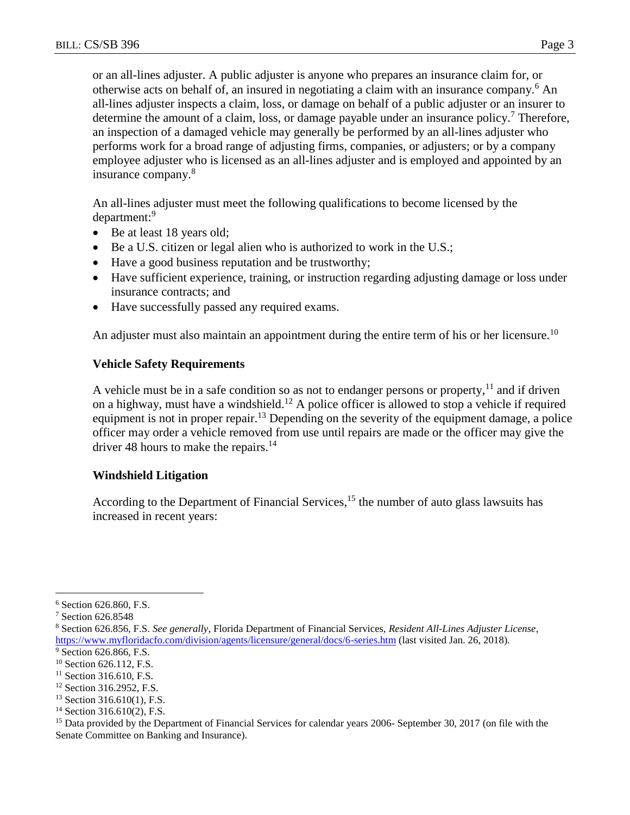or an all-lines adjuster. A public adjuster is anyone who prepares an insurance claim for, or otherwise acts on behalf of, an insured in negotiating a claim with an insurance company.<sup>6</sup> An all-lines adjuster inspects a claim, loss, or damage on behalf of a public adjuster or an insurer to determine the amount of a claim, loss, or damage payable under an insurance policy.<sup>7</sup> Therefore, an inspection of a damaged vehicle may generally be performed by an all-lines adjuster who performs work for a broad range of adjusting firms, companies, or adjusters; or by a company employee adjuster who is licensed as an all-lines adjuster and is employed and appointed by an insurance company. 8

An all-lines adjuster must meet the following qualifications to become licensed by the department:<sup>9</sup>

- Be at least 18 years old;
- Be a U.S. citizen or legal alien who is authorized to work in the U.S.;
- Have a good business reputation and be trustworthy;
- Have sufficient experience, training, or instruction regarding adjusting damage or loss under insurance contracts; and
- Have successfully passed any required exams.

An adjuster must also maintain an appointment during the entire term of his or her licensure.<sup>10</sup>

## **Vehicle Safety Requirements**

A vehicle must be in a safe condition so as not to endanger persons or property,  $\frac{1}{1}$  and if driven on a highway, must have a windshield.<sup>12</sup> A police officer is allowed to stop a vehicle if required equipment is not in proper repair.<sup>13</sup> Depending on the severity of the equipment damage, a police officer may order a vehicle removed from use until repairs are made or the officer may give the driver 48 hours to make the repairs.<sup>14</sup>

## **Windshield Litigation**

According to the Department of Financial Services, $1<sup>5</sup>$  the number of auto glass lawsuits has increased in recent years:

 $\overline{a}$ 

<sup>6</sup> Section 626.860, F.S.

<sup>7</sup> Section 626.8548

<sup>8</sup> Section 626.856, F.S. *See generally*, Florida Department of Financial Services, *Resident All-Lines Adjuster License*, <https://www.myfloridacfo.com/division/agents/licensure/general/docs/6-series.htm> (last visited Jan. 26, 2018).

<sup>&</sup>lt;sup>9</sup> Section 626.866, F.S.

<sup>&</sup>lt;sup>10</sup> Section 626.112, F.S.

 $11$  Section 316.610, F.S.

<sup>12</sup> Section 316.2952, F.S.

 $13$  Section 316.610(1), F.S.

<sup>&</sup>lt;sup>14</sup> Section 316.610(2), F.S.

<sup>&</sup>lt;sup>15</sup> Data provided by the Department of Financial Services for calendar years 2006- September 30, 2017 (on file with the Senate Committee on Banking and Insurance).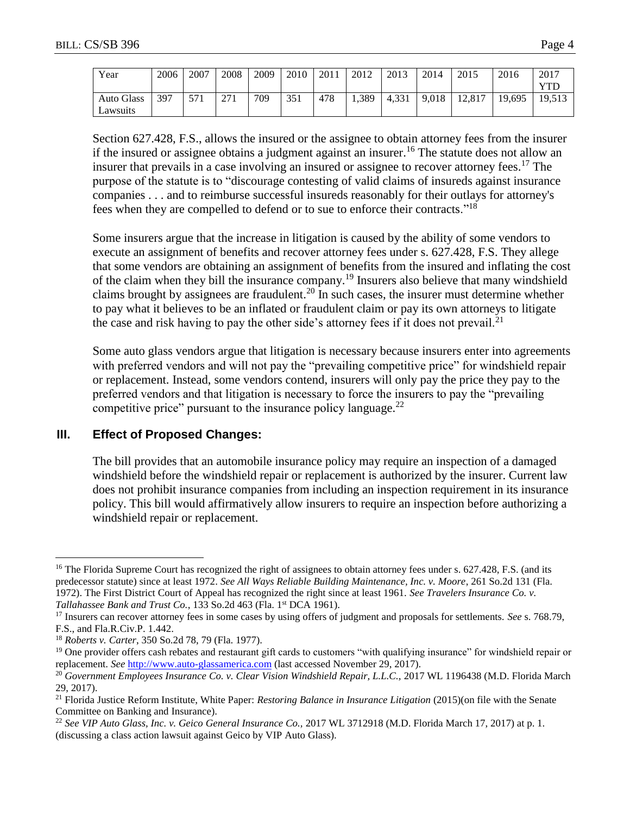| Year              | 2006 | 2007 | 2008      | 2009 | 2010 | 2011 | 2012  | 2013  | 2014  | 2015   | 2016   | 2017   |
|-------------------|------|------|-----------|------|------|------|-------|-------|-------|--------|--------|--------|
|                   |      |      |           |      |      |      |       |       |       |        |        | VTT    |
| <b>Auto Glass</b> | 397  | 571  | 271<br>21 | 709  | 351  | 478  | 1,389 | 4,331 | 9.018 | 12.817 | 19,695 | 19.513 |
| Lawsuits          |      |      |           |      |      |      |       |       |       |        |        |        |

Section 627.428, F.S., allows the insured or the assignee to obtain attorney fees from the insurer if the insured or assignee obtains a judgment against an insurer.<sup>16</sup> The statute does not allow an insurer that prevails in a case involving an insured or assignee to recover attorney fees.<sup>17</sup> The purpose of the statute is to "discourage contesting of valid claims of insureds against insurance companies . . . and to reimburse successful insureds reasonably for their outlays for attorney's fees when they are compelled to defend or to sue to enforce their contracts."<sup>18</sup>

Some insurers argue that the increase in litigation is caused by the ability of some vendors to execute an assignment of benefits and recover attorney fees under s. 627.428, F.S. They allege that some vendors are obtaining an assignment of benefits from the insured and inflating the cost of the claim when they bill the insurance company.<sup>19</sup> Insurers also believe that many windshield claims brought by assignees are fraudulent.<sup>20</sup> In such cases, the insurer must determine whether to pay what it believes to be an inflated or fraudulent claim or pay its own attorneys to litigate the case and risk having to pay the other side's attorney fees if it does not prevail.<sup>21</sup>

Some auto glass vendors argue that litigation is necessary because insurers enter into agreements with preferred vendors and will not pay the "prevailing competitive price" for windshield repair or replacement. Instead, some vendors contend, insurers will only pay the price they pay to the preferred vendors and that litigation is necessary to force the insurers to pay the "prevailing competitive price" pursuant to the insurance policy language.<sup>22</sup>

## **III. Effect of Proposed Changes:**

The bill provides that an automobile insurance policy may require an inspection of a damaged windshield before the windshield repair or replacement is authorized by the insurer. Current law does not prohibit insurance companies from including an inspection requirement in its insurance policy. This bill would affirmatively allow insurers to require an inspection before authorizing a windshield repair or replacement.

 $\overline{a}$ 

<sup>&</sup>lt;sup>16</sup> The Florida Supreme Court has recognized the right of assignees to obtain attorney fees under s. 627.428, F.S. (and its predecessor statute) since at least 1972. *See All Ways Reliable Building Maintenance, Inc. v. Moore*, 261 So.2d 131 (Fla. 1972). The First District Court of Appeal has recognized the right since at least 1961. *See Travelers Insurance Co. v. Tallahassee Bank and Trust Co.*, 133 So.2d 463 (Fla. 1<sup>st</sup> DCA 1961).

<sup>17</sup> Insurers can recover attorney fees in some cases by using offers of judgment and proposals for settlements. *See* s. 768.79, F.S., and Fla.R.Civ.P. 1.442.

<sup>18</sup> *Roberts v. Carter*, 350 So.2d 78, 79 (Fla. 1977).

<sup>&</sup>lt;sup>19</sup> One provider offers cash rebates and restaurant gift cards to customers "with qualifying insurance" for windshield repair or replacement. *See* [http://www.auto-glassamerica.com](http://www.auto-glassamerica.com/) (last accessed November 29, 2017).

<sup>&</sup>lt;sup>20</sup> Government Employees Insurance Co. v. Clear Vision Windshield Repair, L.L.C., 2017 WL 1196438 (M.D. Florida March 29, 2017).

<sup>21</sup> Florida Justice Reform Institute, White Paper: *Restoring Balance in Insurance Litigation* (2015)(on file with the Senate Committee on Banking and Insurance).

<sup>22</sup> *See VIP Auto Glass, Inc. v. Geico General Insurance Co.,* 2017 WL 3712918 (M.D. Florida March 17, 2017) at p. 1. (discussing a class action lawsuit against Geico by VIP Auto Glass).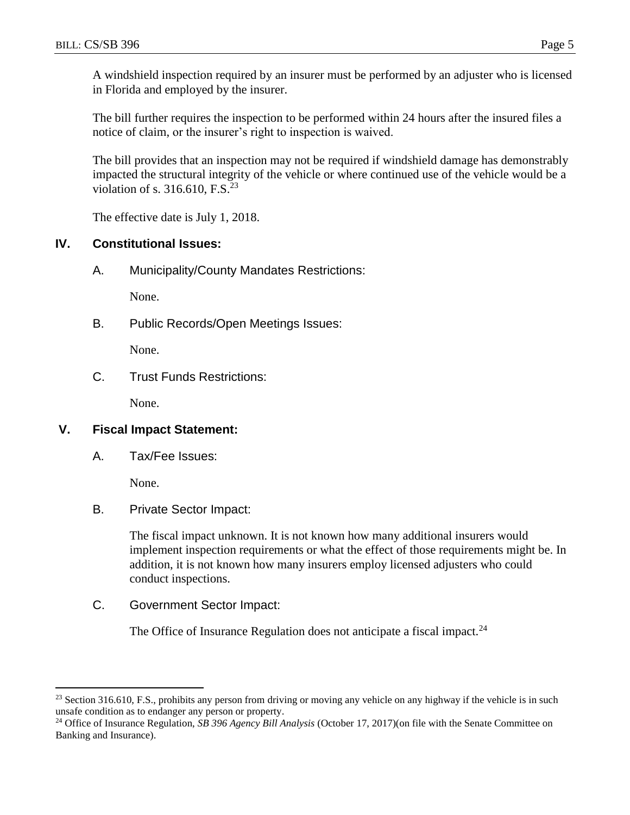A windshield inspection required by an insurer must be performed by an adjuster who is licensed in Florida and employed by the insurer.

The bill further requires the inspection to be performed within 24 hours after the insured files a notice of claim, or the insurer's right to inspection is waived.

The bill provides that an inspection may not be required if windshield damage has demonstrably impacted the structural integrity of the vehicle or where continued use of the vehicle would be a violation of s.  $316.610$ , F.S.<sup>23</sup>

The effective date is July 1, 2018.

# **IV. Constitutional Issues:**

A. Municipality/County Mandates Restrictions:

None.

B. Public Records/Open Meetings Issues:

None.

C. Trust Funds Restrictions:

None.

# **V. Fiscal Impact Statement:**

A. Tax/Fee Issues:

None.

 $\overline{a}$ 

B. Private Sector Impact:

The fiscal impact unknown. It is not known how many additional insurers would implement inspection requirements or what the effect of those requirements might be. In addition, it is not known how many insurers employ licensed adjusters who could conduct inspections.

C. Government Sector Impact:

The Office of Insurance Regulation does not anticipate a fiscal impact.<sup>24</sup>

<sup>&</sup>lt;sup>23</sup> Section 316.610, F.S., prohibits any person from driving or moving any vehicle on any highway if the vehicle is in such unsafe condition as to endanger any person or property.

<sup>24</sup> Office of Insurance Regulation, *SB 396 Agency Bill Analysis* (October 17, 2017)(on file with the Senate Committee on Banking and Insurance).